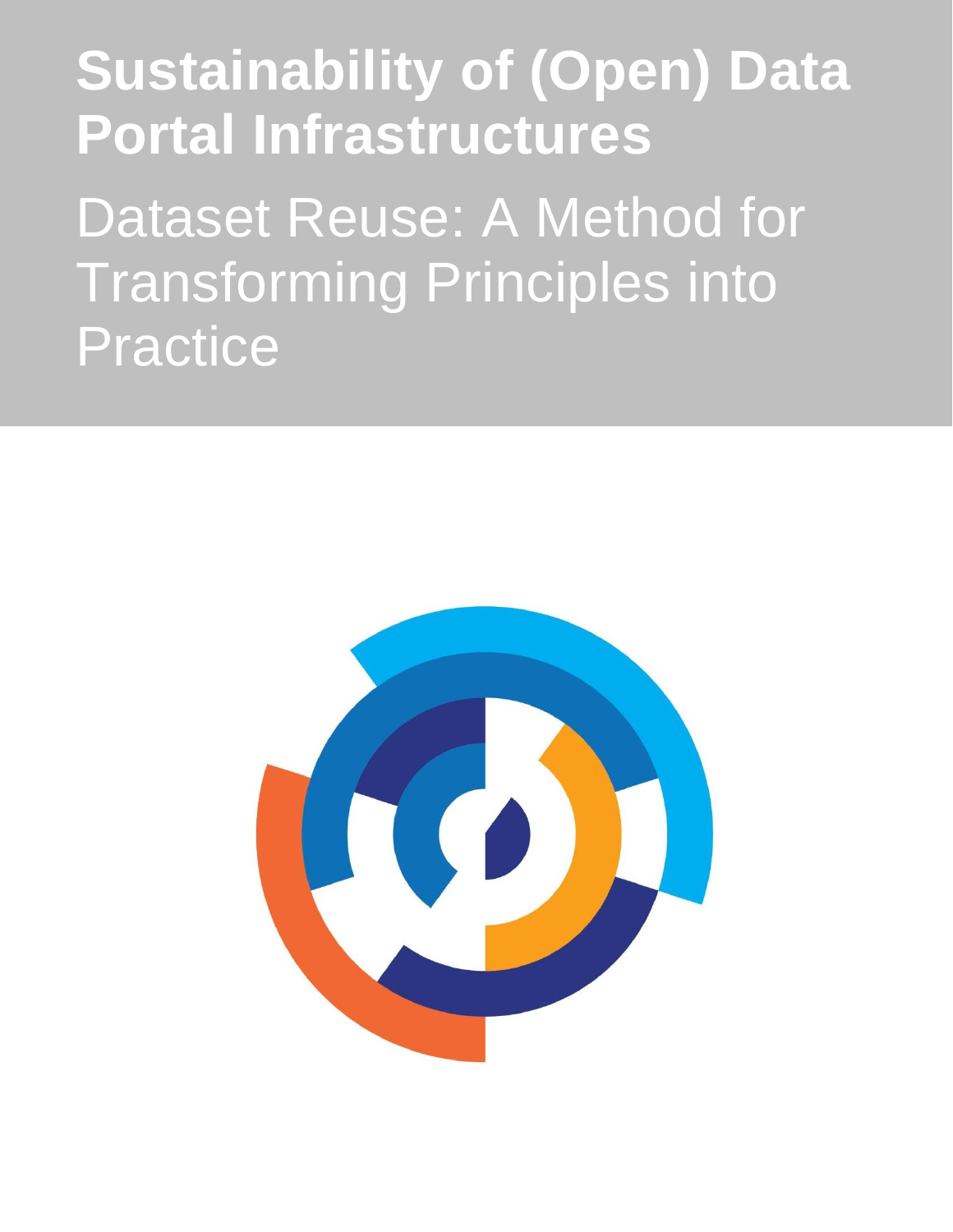# **Sustainability of (Open) Data Portal Infrastructures**

Dataset Reuse: A Method for Transforming Principles into Practice

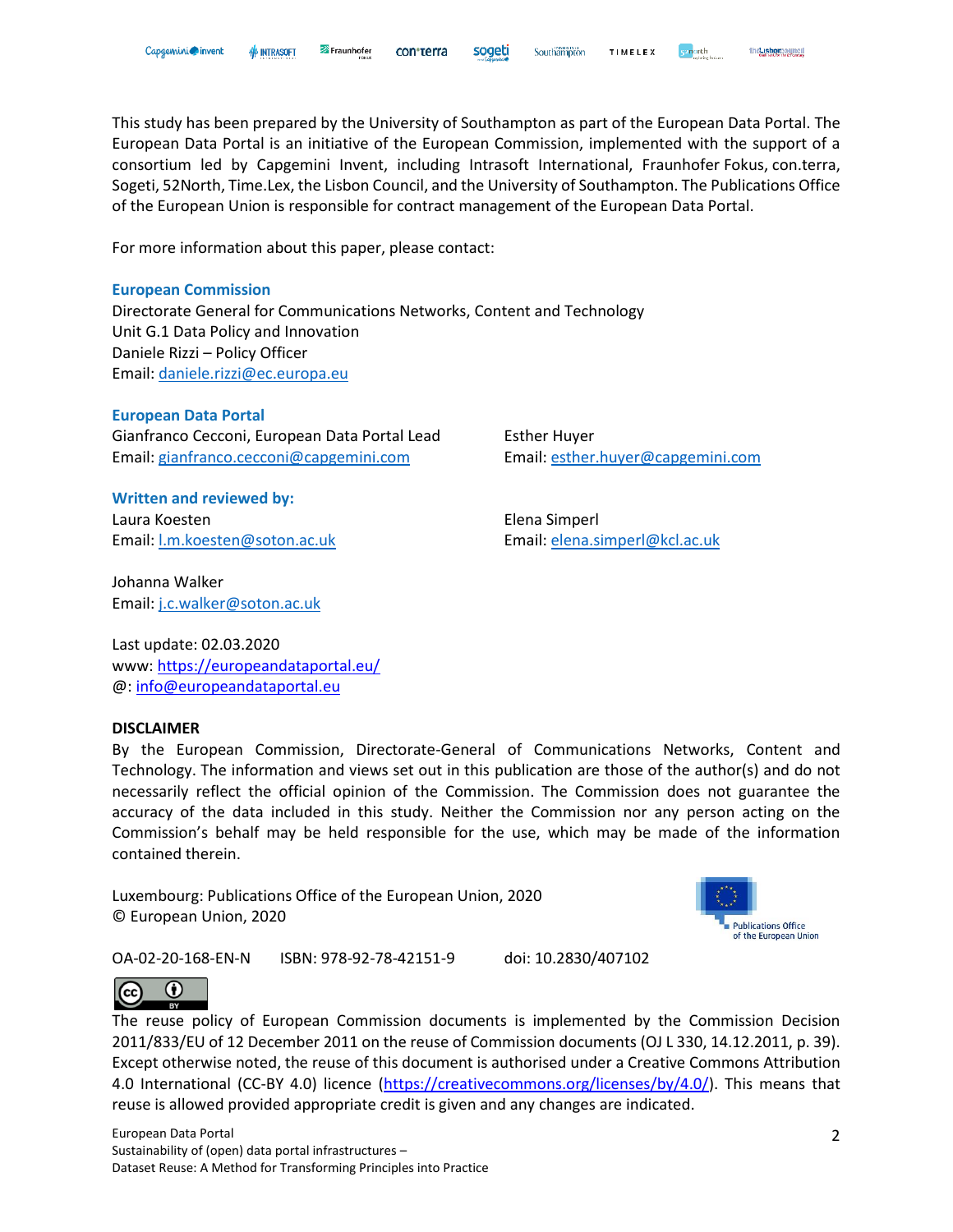This study has been prepared by the University of Southampton as part of the European Data Portal. The European Data Portal is an initiative of the European Commission, implemented with the support of a consortium led by Capgemini Invent, including Intrasoft International, Fraunhofer Fokus, con.terra, Sogeti, 52North, Time.Lex, the Lisbon Council, and the University of Southampton. The Publications Office of the European Union is responsible for contract management of the European Data Portal.

For more information about this paper, please contact:

#### **European Commission**

Directorate General for Communications Networks, Content and Technology Unit G.1 Data Policy and Innovation Daniele Rizzi – Policy Officer Email: [daniele.rizzi@ec.europa.eu](mailto:daniele.rizzi@ec.europa.eu) 

#### **European Data Portal**

Gianfranco Cecconi, European Data Portal Lead Esther Huyer Email: [gianfranco.cecconi@capgemini.com](mailto:gianfranco.cecconi@capgemini.com) Email: [esther.huyer@capgemini.com](mailto:esther.huyer@capgemini.com)

**Written and reviewed by:** Laura Koesten Elena Simperl Email: [l.m.koesten@soton.ac.uk](mailto:l.m.koesten@soton.ac.uk) Email: [elena.simperl@kcl.ac.uk](mailto:elena.simperl@kcl.ac.uk)

Johanna Walker Email: [j.c.walker@soton.ac.uk](mailto:j.c.walker@soton.ac.uk)

Last update: 02.03.2020 www:<https://europeandataportal.eu/> @: [info@europeandataportal.eu](mailto:info@europeandataportal.eu) 

#### **DISCLAIMER**

By the European Commission, Directorate-General of Communications Networks, Content and Technology. The information and views set out in this publication are those of the author(s) and do not necessarily reflect the official opinion of the Commission. The Commission does not guarantee the accuracy of the data included in this study. Neither the Commission nor any person acting on the Commission's behalf may be held responsible for the use, which may be made of the information contained therein.

Luxembourg: Publications Office of the European Union, 2020 © European Union, 2020



the Lisborgouncil

OA-02-20-168-EN-N ISBN: 978-92-78-42151-9 doi: 10.2830/407102



The reuse policy of European Commission documents is implemented by the Commission Decision 2011/833/EU of 12 December 2011 on the reuse of Commission documents (OJ L 330, 14.12.2011, p. 39). Except otherwise noted, the reuse of this document is authorised under a Creative Commons Attribution 4.0 International (CC-BY 4.0) licence [\(https://creativecommons.org/licenses/by/4.0/\)](https://creativecommons.org/licenses/by/4.0/). This means that reuse is allowed provided appropriate credit is given and any changes are indicated.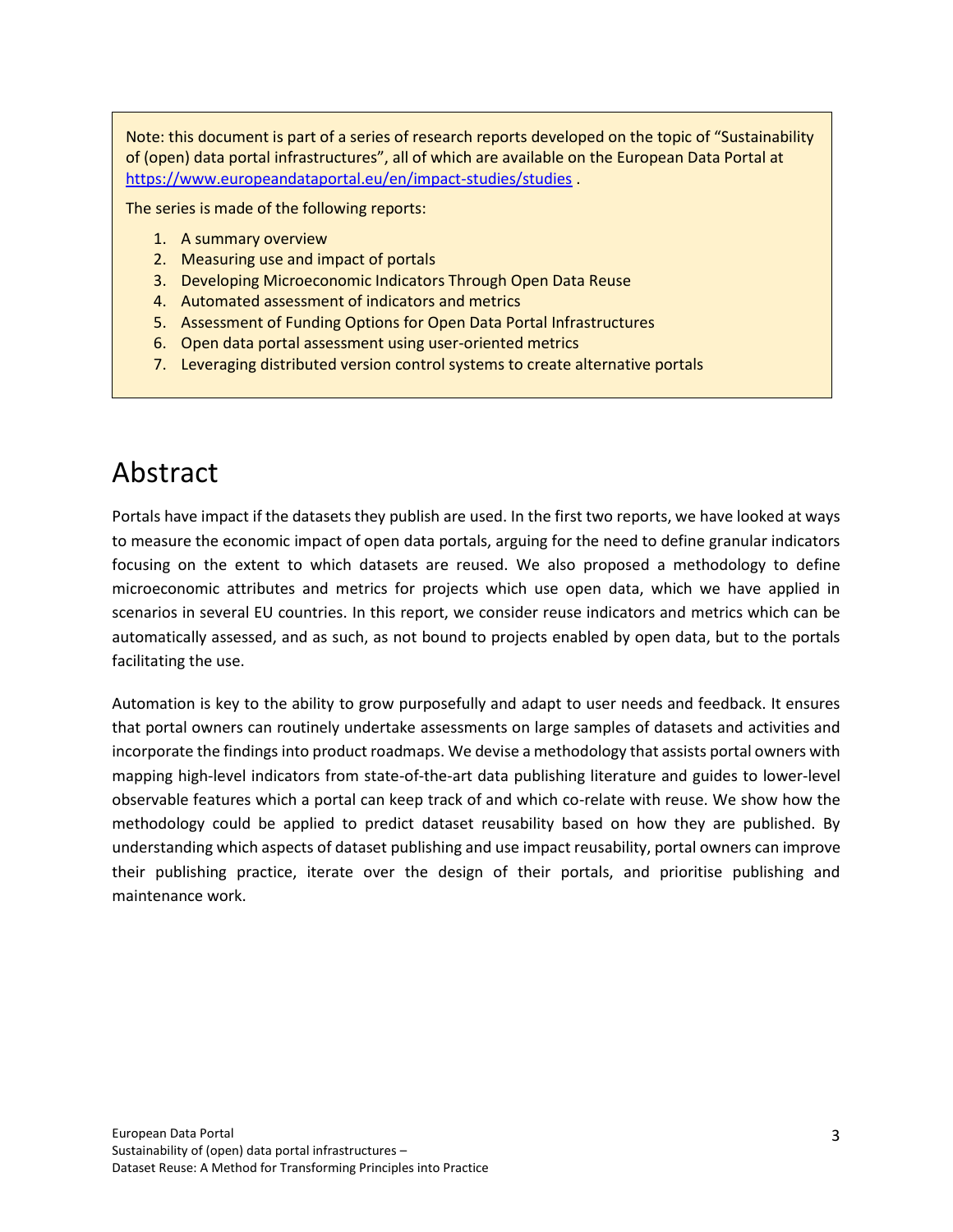Note: this document is part of a series of research reports developed on the topic of "Sustainability of (open) data portal infrastructures", all of which are available on the European Data Portal at <https://www.europeandataportal.eu/en/impact-studies/studies>

The series is made of the following reports:

- 1. A summary overview
- 2. Measuring use and impact of portals
- 3. Developing Microeconomic Indicators Through Open Data Reuse
- 4. Automated assessment of indicators and metrics
- 5. Assessment of Funding Options for Open Data Portal Infrastructures
- 6. Open data portal assessment using user-oriented metrics
- 7. Leveraging distributed version control systems to create alternative portals

# <span id="page-2-0"></span>Abstract

Portals have impact if the datasets they publish are used. In the first two reports, we have looked at ways to measure the economic impact of open data portals, arguing for the need to define granular indicators focusing on the extent to which datasets are reused. We also proposed a methodology to define microeconomic attributes and metrics for projects which use open data, which we have applied in scenarios in several EU countries. In this report, we consider reuse indicators and metrics which can be automatically assessed, and as such, as not bound to projects enabled by open data, but to the portals facilitating the use.

Automation is key to the ability to grow purposefully and adapt to user needs and feedback. It ensures that portal owners can routinely undertake assessments on large samples of datasets and activities and incorporate the findings into product roadmaps. We devise a methodology that assists portal owners with mapping high-level indicators from state-of-the-art data publishing literature and guides to lower-level observable features which a portal can keep track of and which co-relate with reuse. We show how the methodology could be applied to predict dataset reusability based on how they are published. By understanding which aspects of dataset publishing and use impact reusability, portal owners can improve their publishing practice, iterate over the design of their portals, and prioritise publishing and maintenance work.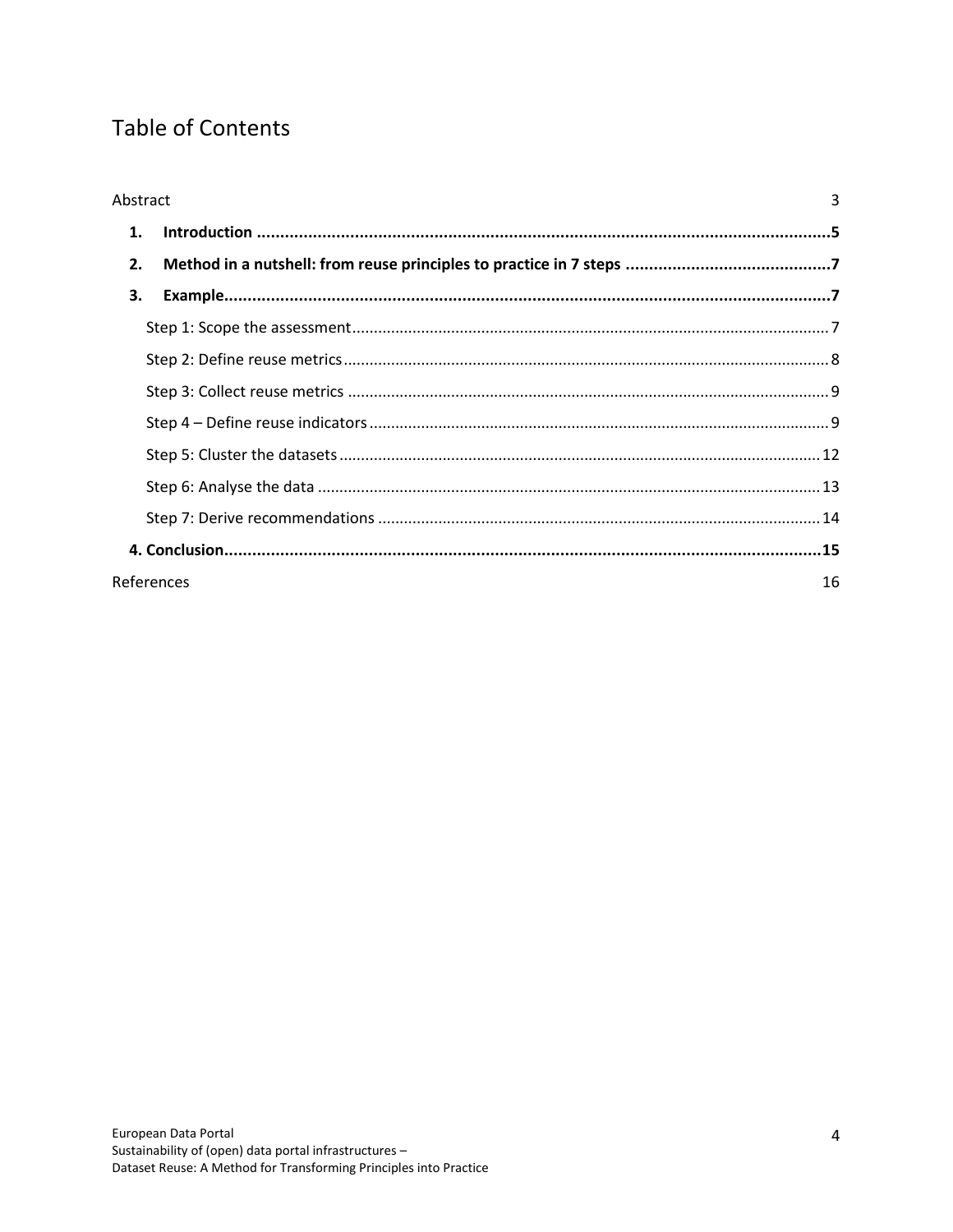# **Table of Contents**

| 3<br>Abstract    |  |  |
|------------------|--|--|
| 1.               |  |  |
| 2.               |  |  |
| 3.               |  |  |
|                  |  |  |
|                  |  |  |
|                  |  |  |
|                  |  |  |
|                  |  |  |
|                  |  |  |
|                  |  |  |
|                  |  |  |
| References<br>16 |  |  |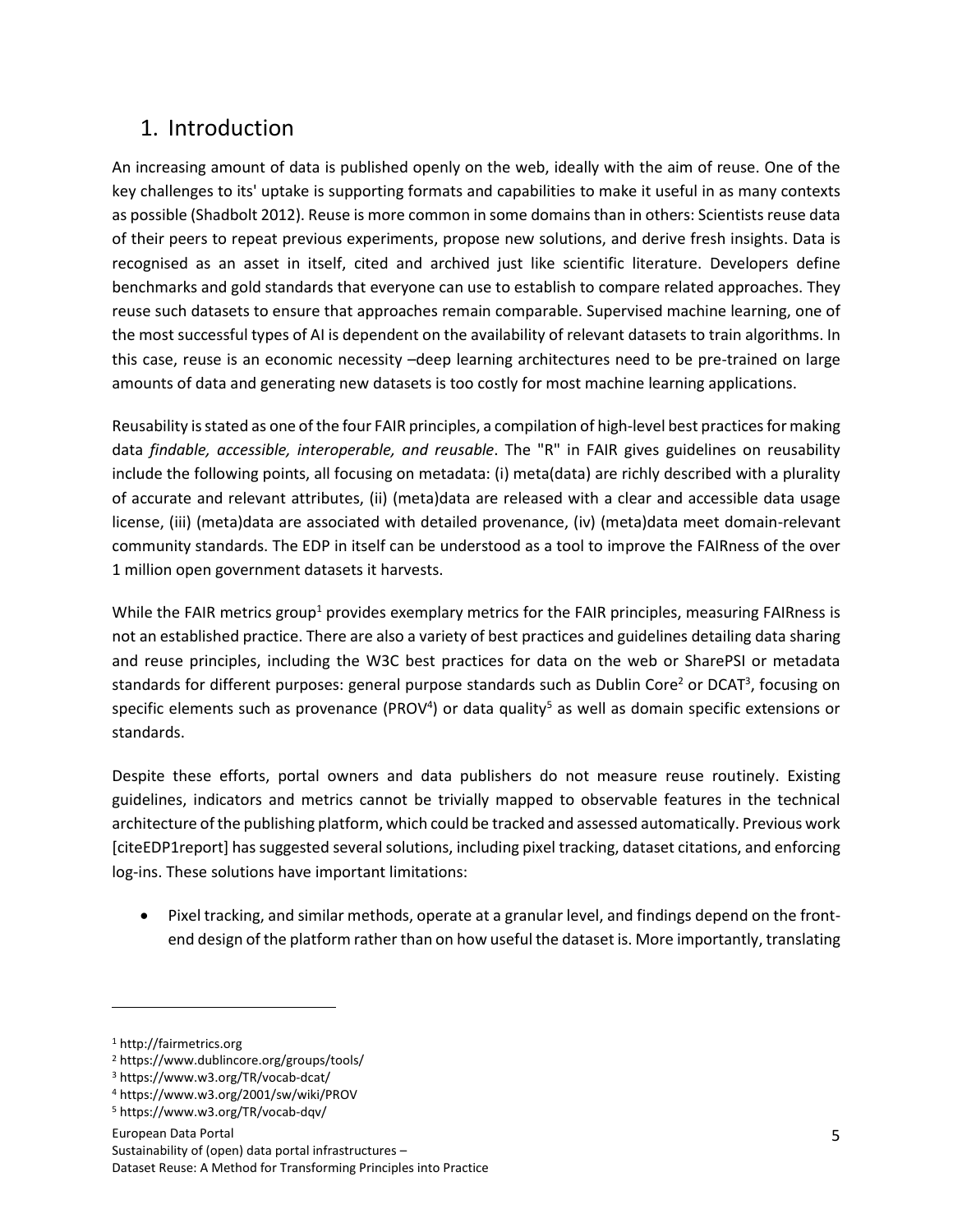## <span id="page-4-0"></span>1. Introduction

An increasing amount of data is published openly on the web, ideally with the aim of reuse. One of the key challenges to its' uptake is supporting formats and capabilities to make it useful in as many contexts as possible (Shadbolt 2012). Reuse is more common in some domains than in others: Scientists reuse data of their peers to repeat previous experiments, propose new solutions, and derive fresh insights. Data is recognised as an asset in itself, cited and archived just like scientific literature. Developers define benchmarks and gold standards that everyone can use to establish to compare related approaches. They reuse such datasets to ensure that approaches remain comparable. Supervised machine learning, one of the most successful types of AI is dependent on the availability of relevant datasets to train algorithms. In this case, reuse is an economic necessity –deep learning architectures need to be pre-trained on large amounts of data and generating new datasets is too costly for most machine learning applications.

Reusability is stated as one of the four FAIR principles, a compilation of high-level best practices for making data *findable, accessible, interoperable, and reusable*. The "R" in FAIR gives guidelines on reusability include the following points, all focusing on metadata: (i) meta(data) are richly described with a plurality of accurate and relevant attributes, (ii) (meta)data are released with a clear and accessible data usage license, (iii) (meta)data are associated with detailed provenance, (iv) (meta)data meet domain-relevant community standards. The EDP in itself can be understood as a tool to improve the FAIRness of the over 1 million open government datasets it harvests.

While the FAIR metrics group<sup>1</sup> provides exemplary metrics for the FAIR principles, measuring FAIRness is not an established practice. There are also a variety of best practices and guidelines detailing data sharing and reuse principles, including the W3C best practices for data on the web or SharePSI or metadata standards for different purposes: general purpose standards such as Dublin Core<sup>2</sup> or DCAT<sup>3</sup>, focusing on specific elements such as provenance (PROV<sup>4</sup>) or data quality<sup>5</sup> as well as domain specific extensions or standards.

Despite these efforts, portal owners and data publishers do not measure reuse routinely. Existing guidelines, indicators and metrics cannot be trivially mapped to observable features in the technical architecture of the publishing platform, which could be tracked and assessed automatically. Previous work [citeEDP1report] has suggested several solutions, including pixel tracking, dataset citations, and enforcing log-ins. These solutions have important limitations:

Pixel tracking, and similar methods, operate at a granular level, and findings depend on the frontend design of the platform rather than on how useful the dataset is. More importantly, translating

<sup>1</sup> http://fairmetrics.org

<sup>2</sup> https://www.dublincore.org/groups/tools/

<sup>3</sup> https://www.w3.org/TR/vocab-dcat/

<sup>4</sup> https://www.w3.org/2001/sw/wiki/PROV

<sup>5</sup> https://www.w3.org/TR/vocab-dqv/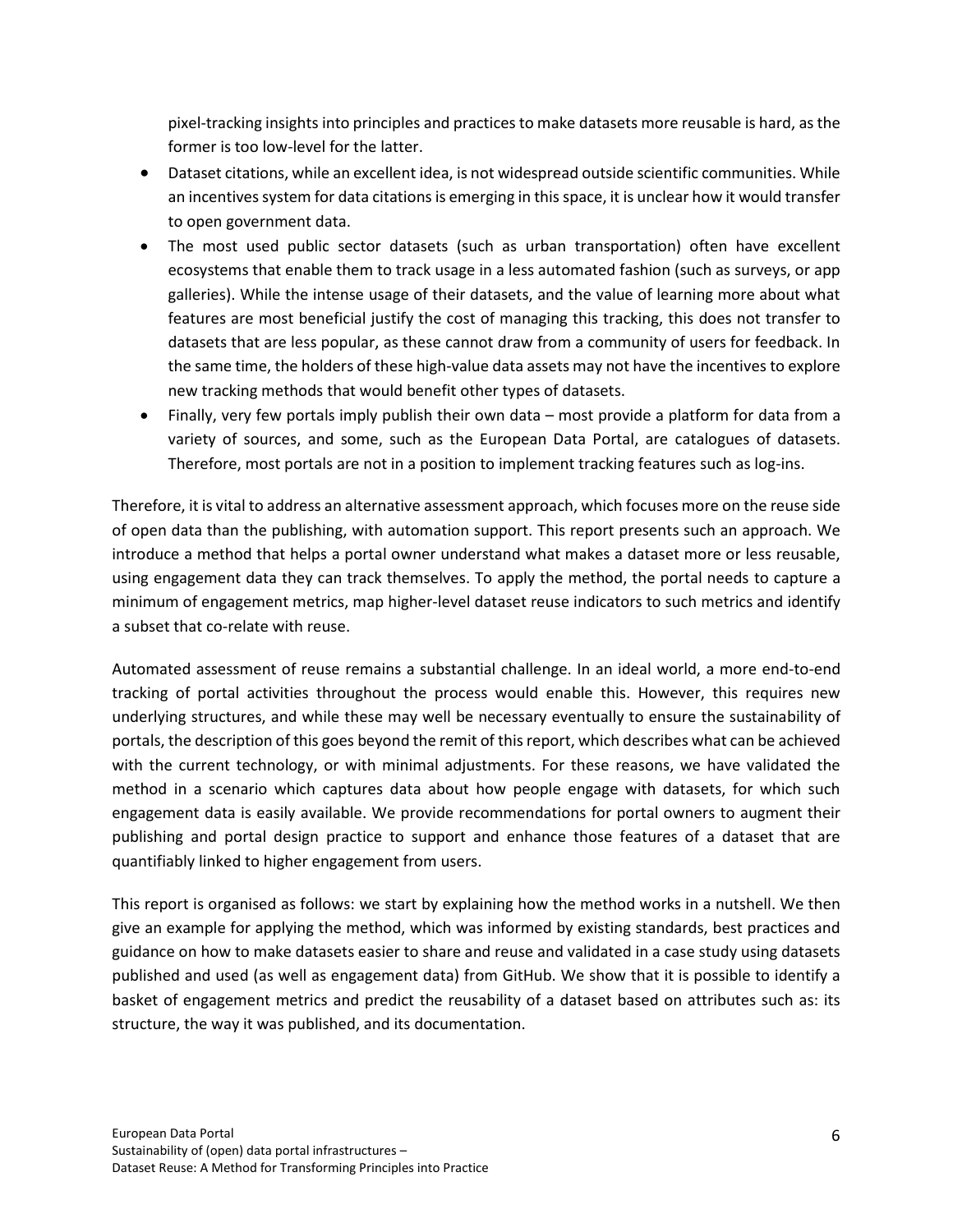pixel-tracking insights into principles and practices to make datasets more reusable is hard, as the former is too low-level for the latter.

- Dataset citations, while an excellent idea, is not widespread outside scientific communities. While an incentives system for data citations is emerging in this space, it is unclear how it would transfer to open government data.
- The most used public sector datasets (such as urban transportation) often have excellent ecosystems that enable them to track usage in a less automated fashion (such as surveys, or app galleries). While the intense usage of their datasets, and the value of learning more about what features are most beneficial justify the cost of managing this tracking, this does not transfer to datasets that are less popular, as these cannot draw from a community of users for feedback. In the same time, the holders of these high-value data assets may not have the incentives to explore new tracking methods that would benefit other types of datasets.
- Finally, very few portals imply publish their own data most provide a platform for data from a variety of sources, and some, such as the European Data Portal, are catalogues of datasets. Therefore, most portals are not in a position to implement tracking features such as log-ins.

Therefore, it is vital to address an alternative assessment approach, which focuses more on the reuse side of open data than the publishing, with automation support. This report presents such an approach. We introduce a method that helps a portal owner understand what makes a dataset more or less reusable, using engagement data they can track themselves. To apply the method, the portal needs to capture a minimum of engagement metrics, map higher-level dataset reuse indicators to such metrics and identify a subset that co-relate with reuse.

Automated assessment of reuse remains a substantial challenge. In an ideal world, a more end-to-end tracking of portal activities throughout the process would enable this. However, this requires new underlying structures, and while these may well be necessary eventually to ensure the sustainability of portals, the description of this goes beyond the remit of this report, which describes what can be achieved with the current technology, or with minimal adjustments. For these reasons, we have validated the method in a scenario which captures data about how people engage with datasets, for which such engagement data is easily available. We provide recommendations for portal owners to augment their publishing and portal design practice to support and enhance those features of a dataset that are quantifiably linked to higher engagement from users.

This report is organised as follows: we start by explaining how the method works in a nutshell. We then give an example for applying the method, which was informed by existing standards, best practices and guidance on how to make datasets easier to share and reuse and validated in a case study using datasets published and used (as well as engagement data) from GitHub. We show that it is possible to identify a basket of engagement metrics and predict the reusability of a dataset based on attributes such as: its structure, the way it was published, and its documentation.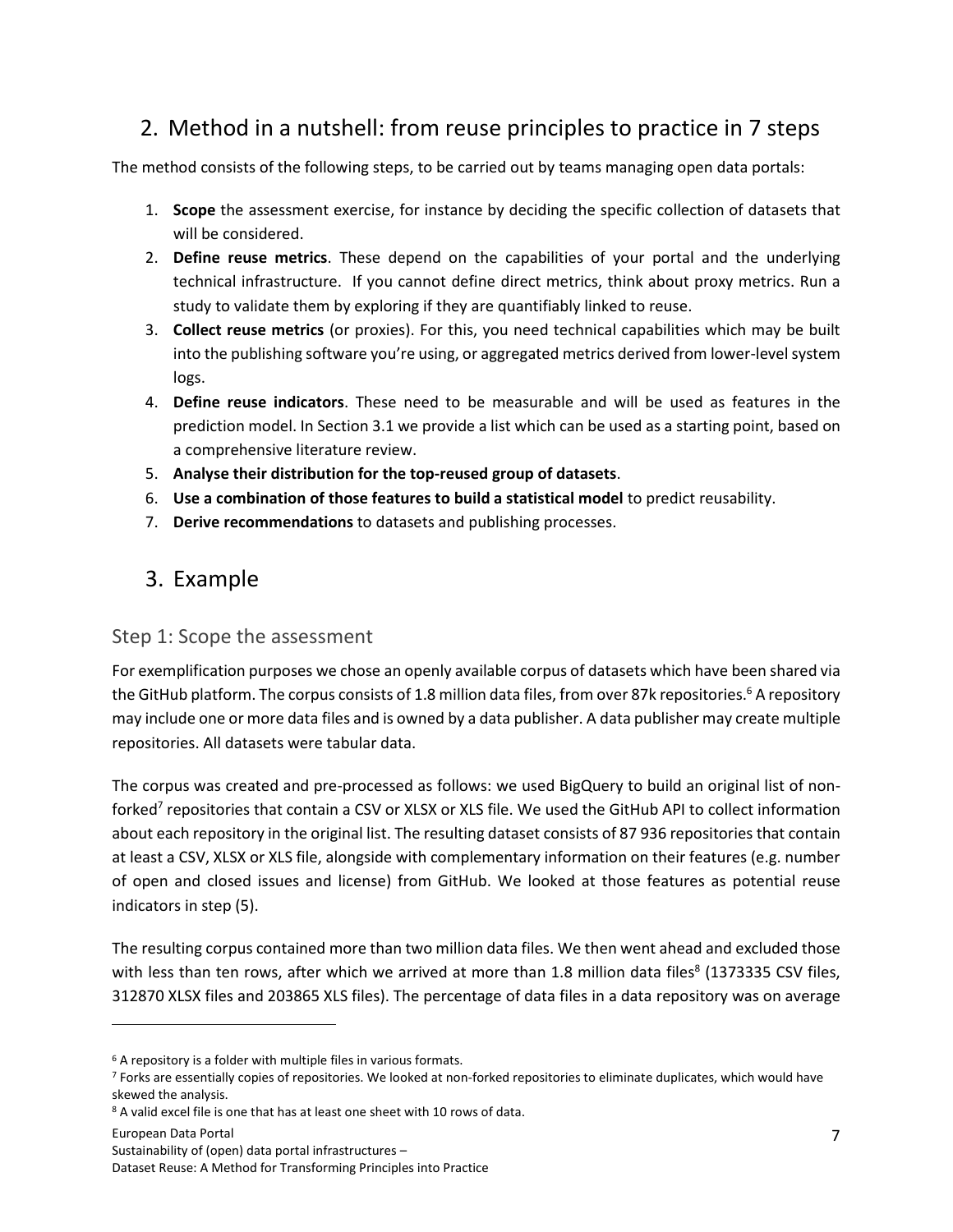## <span id="page-6-0"></span>2. Method in a nutshell: from reuse principles to practice in 7 steps

The method consists of the following steps, to be carried out by teams managing open data portals:

- 1. **Scope** the assessment exercise, for instance by deciding the specific collection of datasets that will be considered.
- 2. **Define reuse metrics**. These depend on the capabilities of your portal and the underlying technical infrastructure. If you cannot define direct metrics, think about proxy metrics. Run a study to validate them by exploring if they are quantifiably linked to reuse.
- 3. **Collect reuse metrics** (or proxies). For this, you need technical capabilities which may be built into the publishing software you're using, or aggregated metrics derived from lower-level system logs.
- 4. **Define reuse indicators**. These need to be measurable and will be used as features in the prediction model. In Section 3.1 we provide a list which can be used as a starting point, based on a comprehensive literature review.
- 5. **Analyse their distribution for the top-reused group of datasets**.
- 6. **Use a combination of those features to build a statistical model** to predict reusability.
- 7. **Derive recommendations** to datasets and publishing processes.

## <span id="page-6-1"></span>3. Example

#### <span id="page-6-2"></span>Step 1: Scope the assessment

For exemplification purposes we chose an openly available corpus of datasets which have been shared via the GitHub platform. The corpus consists of 1.8 million data files, from over 87k repositories.<sup>6</sup> A repository may include one or more data files and is owned by a data publisher. A data publisher may create multiple repositories. All datasets were tabular data.

The corpus was created and pre-processed as follows: we used BigQuery to build an original list of nonforked<sup>7</sup> repositories that contain a CSV or XLSX or XLS file. We used the GitHub API to collect information about each repository in the original list. The resulting dataset consists of 87 936 repositories that contain at least a CSV, XLSX or XLS file, alongside with complementary information on their features (e.g. number of open and closed issues and license) from GitHub. We looked at those features as potential reuse indicators in step (5).

The resulting corpus contained more than two million data files. We then went ahead and excluded those with less than ten rows, after which we arrived at more than 1.8 million data files<sup>8</sup> (1373335 CSV files, 312870 XLSX files and 203865 XLS files). The percentage of data files in a data repository was on average

European Data Portal Sustainability of (open) data portal infrastructures – Dataset Reuse: A Method for Transforming Principles into Practice

<sup>6</sup> A repository is a folder with multiple files in various formats.

<sup>7</sup> Forks are essentially copies of repositories. We looked at non-forked repositories to eliminate duplicates, which would have skewed the analysis.

<sup>8</sup> A valid excel file is one that has at least one sheet with 10 rows of data.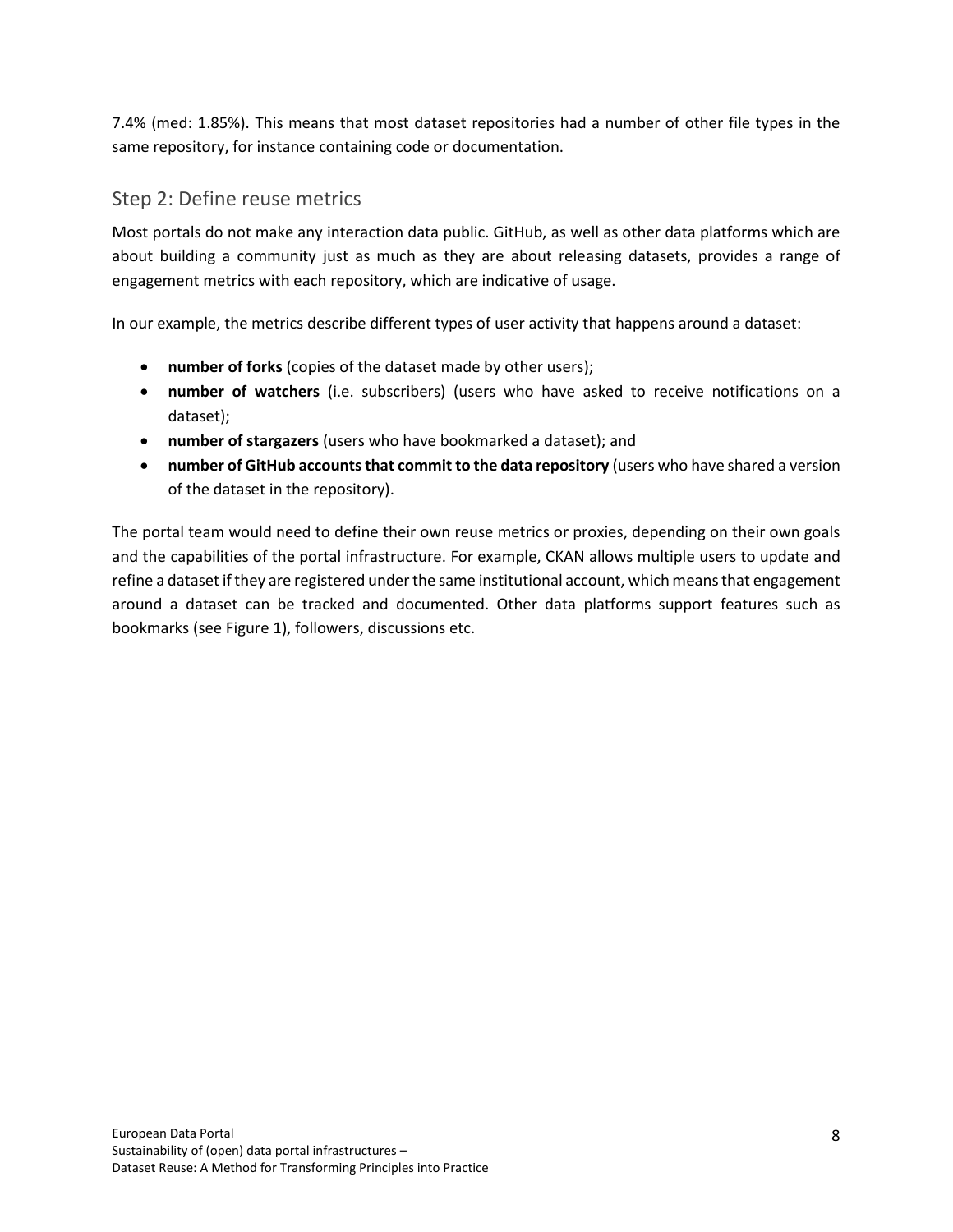7.4% (med: 1.85%). This means that most dataset repositories had a number of other file types in the same repository, for instance containing code or documentation.

## <span id="page-7-0"></span>Step 2: Define reuse metrics

Most portals do not make any interaction data public. GitHub, as well as other data platforms which are about building a community just as much as they are about releasing datasets, provides a range of engagement metrics with each repository, which are indicative of usage.

In our example, the metrics describe different types of user activity that happens around a dataset:

- **number of forks** (copies of the dataset made by other users);
- **number of watchers** (i.e. subscribers) (users who have asked to receive notifications on a dataset);
- **number of stargazers** (users who have bookmarked a dataset); and
- **number of GitHub accounts that commit to the data repository** (users who have shared a version of the dataset in the repository).

The portal team would need to define their own reuse metrics or proxies, depending on their own goals and the capabilities of the portal infrastructure. For example, CKAN allows multiple users to update and refine a dataset if they are registered under the same institutional account, which means that engagement around a dataset can be tracked and documented. Other data platforms support features such as bookmarks (see Figure 1), followers, discussions etc.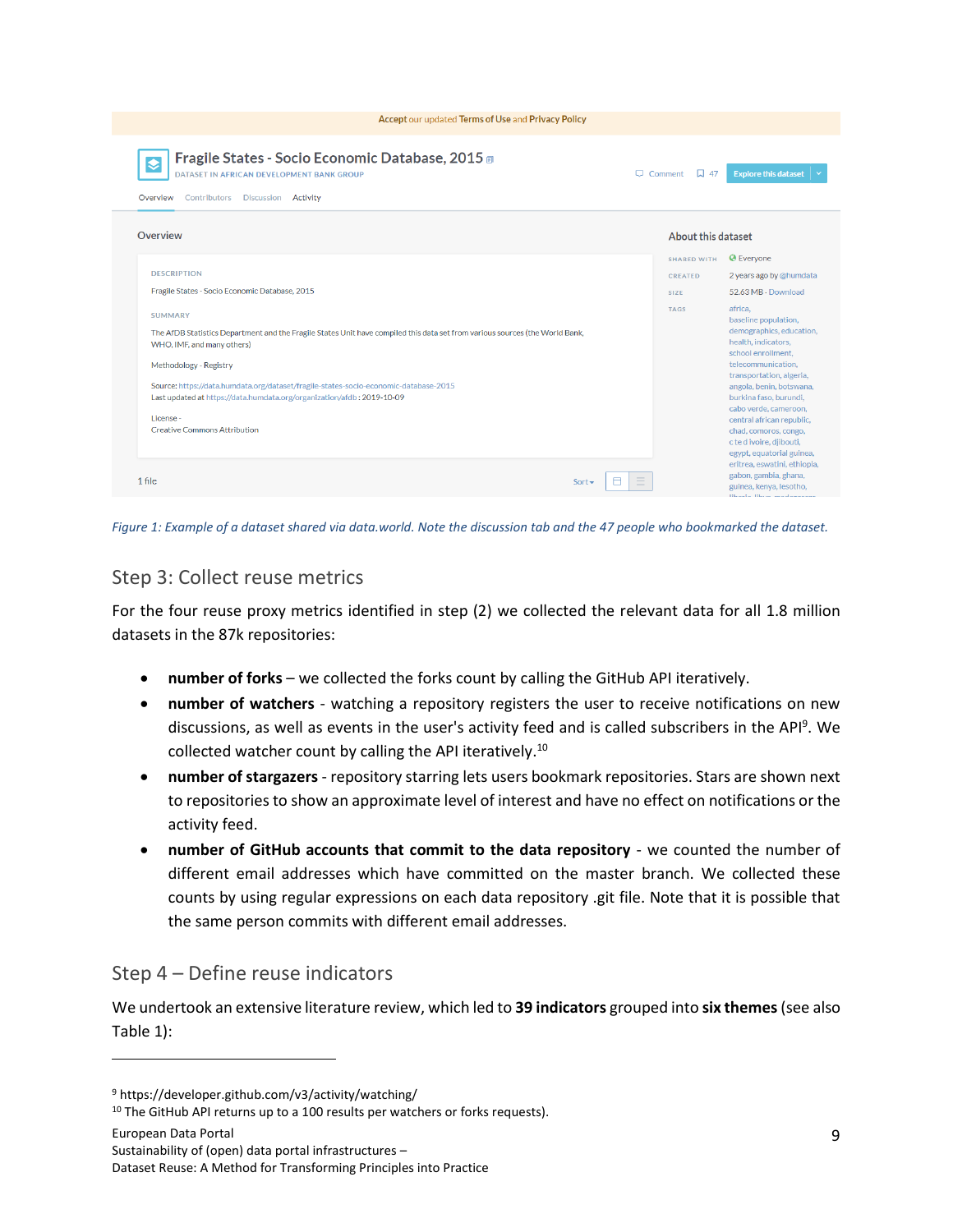| Accept our updated Terms of Use and Privacy Policy                                                                                                                                                                                                                                                                                                                                                                           |                    |                    |                                                                                                                                                                                                                                                                                                                                                          |  |
|------------------------------------------------------------------------------------------------------------------------------------------------------------------------------------------------------------------------------------------------------------------------------------------------------------------------------------------------------------------------------------------------------------------------------|--------------------|--------------------|----------------------------------------------------------------------------------------------------------------------------------------------------------------------------------------------------------------------------------------------------------------------------------------------------------------------------------------------------------|--|
| Fragile States - Socio Economic Database, 2015<br>$\overline{\bullet}$<br>DATASET IN AFRICAN DEVELOPMENT BANK GROUP<br>Overview<br>Contributors Discussion Activity                                                                                                                                                                                                                                                          | $\Box$ Comment     | 口 47               | <b>Explore this dataset</b>                                                                                                                                                                                                                                                                                                                              |  |
| Overview                                                                                                                                                                                                                                                                                                                                                                                                                     |                    | About this dataset |                                                                                                                                                                                                                                                                                                                                                          |  |
|                                                                                                                                                                                                                                                                                                                                                                                                                              |                    | <b>SHARED WITH</b> | <b>C</b> Everyone                                                                                                                                                                                                                                                                                                                                        |  |
| <b>DESCRIPTION</b>                                                                                                                                                                                                                                                                                                                                                                                                           |                    | <b>CREATED</b>     | 2 years ago by @humdata                                                                                                                                                                                                                                                                                                                                  |  |
| Fragile States - Socio Economic Database, 2015                                                                                                                                                                                                                                                                                                                                                                               |                    | <b>SIZE</b>        | 52.63 MB - Download                                                                                                                                                                                                                                                                                                                                      |  |
| <b>SUMMARY</b><br>The AfDB Statistics Department and the Fragile States Unit have compiled this data set from various sources (the World Bank,<br>WHO, IMF, and many others)<br>Methodology - Registry<br>Source: https://data.humdata.org/dataset/fragile-states-socio-economic-database-2015<br>Last updated at https://data.humdata.org/organization/afdb: 2019-10-09<br>License -<br><b>Creative Commons Attribution</b> |                    | <b>TAGS</b>        | africa.<br>baseline population,<br>demographics, education,<br>health, indicators,<br>school enrollment.<br>telecommunication,<br>transportation, algeria,<br>angola, benin, botswana,<br>burkina faso, burundi,<br>cabo verde, cameroon,<br>central african republic,<br>chad, comoros, congo,<br>c te d ivoire, djibouti,<br>egypt, equatorial guinea, |  |
| 1 file                                                                                                                                                                                                                                                                                                                                                                                                                       | Ξ<br>⊟<br>$Sort -$ |                    | eritrea, eswatini, ethiopia,<br>gabon, gambia, ghana,<br>guinea, kenya, lesotho,<br><b>Bloods</b> Blood modernoon                                                                                                                                                                                                                                        |  |

<span id="page-8-0"></span>*Figure 1: Example of a dataset shared via data.world. Note the discussion tab and the 47 people who bookmarked the dataset.*

#### Step 3: Collect reuse metrics

For the four reuse proxy metrics identified in step (2) we collected the relevant data for all 1.8 million datasets in the 87k repositories:

- **number of forks** we collected the forks count by calling the GitHub API iteratively.
- **number of watchers** watching a repository registers the user to receive notifications on new discussions, as well as events in the user's activity feed and is called subscribers in the API<sup>9</sup>. We collected watcher count by calling the API iteratively.<sup>10</sup>
- **number of stargazers** repository starring lets users bookmark repositories. Stars are shown next to repositories to show an approximate level of interest and have no effect on notifications or the activity feed.
- **number of GitHub accounts that commit to the data repository** we counted the number of different email addresses which have committed on the master branch. We collected these counts by using regular expressions on each data repository .git file. Note that it is possible that the same person commits with different email addresses.

## <span id="page-8-1"></span>Step 4 – Define reuse indicators

We undertook an extensive literature review, which led to **39 indicators** grouped into **six themes**(see also Table 1):

<sup>9</sup> https://developer.github.com/v3/activity/watching/

<sup>&</sup>lt;sup>10</sup> The GitHub API returns up to a 100 results per watchers or forks requests).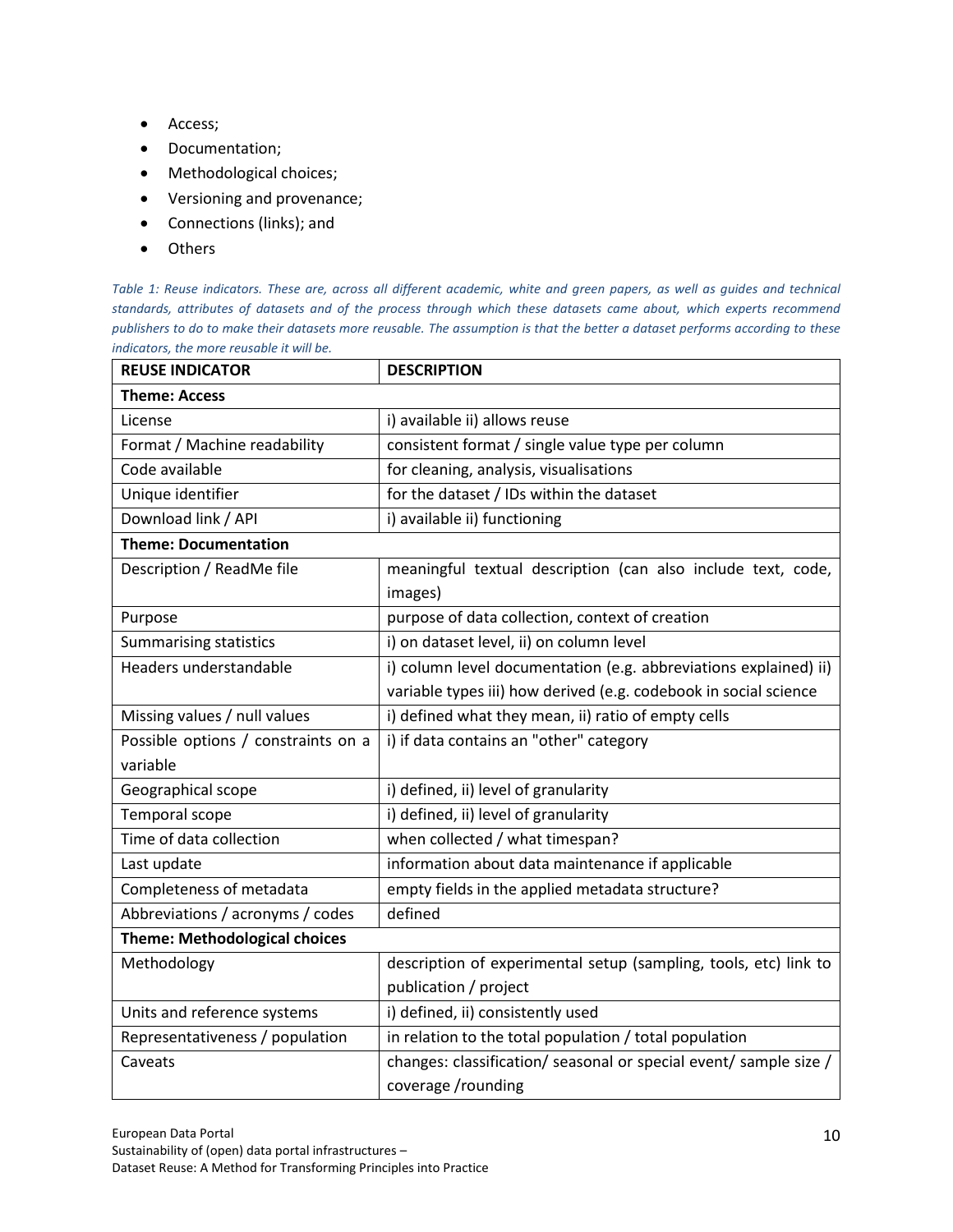- Access;
- Documentation;
- Methodological choices;
- Versioning and provenance;
- Connections (links); and
- Others

*Table 1: Reuse indicators. These are, across all different academic, white and green papers, as well as guides and technical standards, attributes of datasets and of the process through which these datasets came about, which experts recommend publishers to do to make their datasets more reusable. The assumption is that the better a dataset performs according to these indicators, the more reusable it will be.*

| <b>REUSE INDICATOR</b>               | <b>DESCRIPTION</b>                                                |  |  |  |
|--------------------------------------|-------------------------------------------------------------------|--|--|--|
| <b>Theme: Access</b>                 |                                                                   |  |  |  |
| License                              | i) available ii) allows reuse                                     |  |  |  |
| Format / Machine readability         | consistent format / single value type per column                  |  |  |  |
| Code available                       | for cleaning, analysis, visualisations                            |  |  |  |
| Unique identifier                    | for the dataset / IDs within the dataset                          |  |  |  |
| Download link / API                  | i) available ii) functioning                                      |  |  |  |
| <b>Theme: Documentation</b>          |                                                                   |  |  |  |
| Description / ReadMe file            | meaningful textual description (can also include text, code,      |  |  |  |
|                                      | images)                                                           |  |  |  |
| Purpose                              | purpose of data collection, context of creation                   |  |  |  |
| <b>Summarising statistics</b>        | i) on dataset level, ii) on column level                          |  |  |  |
| Headers understandable               | i) column level documentation (e.g. abbreviations explained) ii)  |  |  |  |
|                                      | variable types iii) how derived (e.g. codebook in social science  |  |  |  |
| Missing values / null values         | i) defined what they mean, ii) ratio of empty cells               |  |  |  |
| Possible options / constraints on a  | i) if data contains an "other" category                           |  |  |  |
| variable                             |                                                                   |  |  |  |
| Geographical scope                   | i) defined, ii) level of granularity                              |  |  |  |
| Temporal scope                       | i) defined, ii) level of granularity                              |  |  |  |
| Time of data collection              | when collected / what timespan?                                   |  |  |  |
| Last update                          | information about data maintenance if applicable                  |  |  |  |
| Completeness of metadata             | empty fields in the applied metadata structure?                   |  |  |  |
| Abbreviations / acronyms / codes     | defined                                                           |  |  |  |
| <b>Theme: Methodological choices</b> |                                                                   |  |  |  |
| Methodology                          | description of experimental setup (sampling, tools, etc) link to  |  |  |  |
|                                      | publication / project                                             |  |  |  |
| Units and reference systems          | i) defined, ii) consistently used                                 |  |  |  |
| Representativeness / population      | in relation to the total population / total population            |  |  |  |
| Caveats                              | changes: classification/ seasonal or special event/ sample size / |  |  |  |
|                                      | coverage /rounding                                                |  |  |  |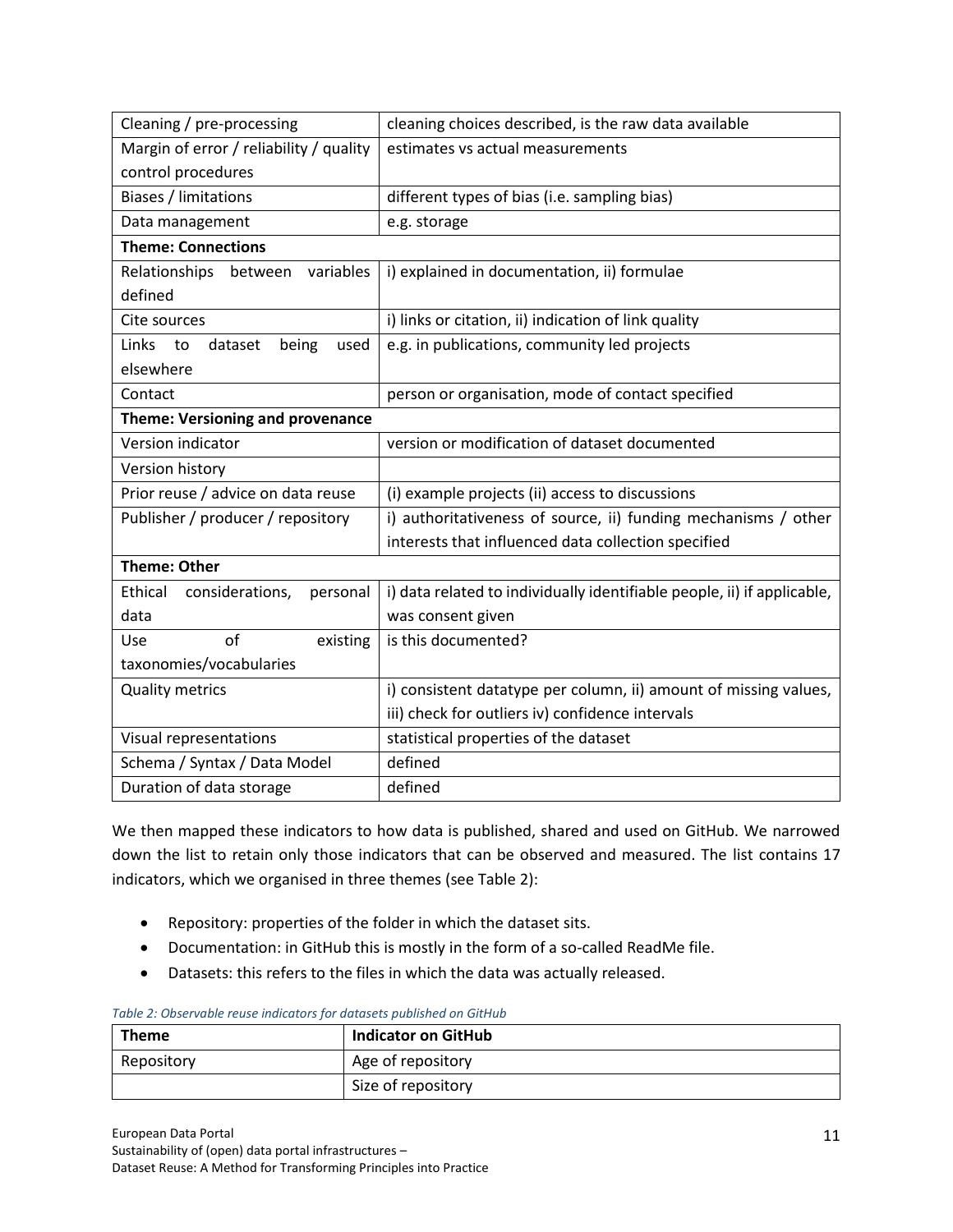| Cleaning / pre-processing               | cleaning choices described, is the raw data available                   |
|-----------------------------------------|-------------------------------------------------------------------------|
| Margin of error / reliability / quality | estimates vs actual measurements                                        |
| control procedures                      |                                                                         |
| <b>Biases / limitations</b>             | different types of bias (i.e. sampling bias)                            |
| Data management                         | e.g. storage                                                            |
| <b>Theme: Connections</b>               |                                                                         |
| Relationships between variables         | i) explained in documentation, ii) formulae                             |
| defined                                 |                                                                         |
| Cite sources                            | i) links or citation, ii) indication of link quality                    |
| Links to<br>dataset<br>being<br>used    | e.g. in publications, community led projects                            |
| elsewhere                               |                                                                         |
| Contact                                 | person or organisation, mode of contact specified                       |
| <b>Theme: Versioning and provenance</b> |                                                                         |
| Version indicator                       | version or modification of dataset documented                           |
| Version history                         |                                                                         |
| Prior reuse / advice on data reuse      | (i) example projects (ii) access to discussions                         |
| Publisher / producer / repository       | i) authoritativeness of source, ii) funding mechanisms / other          |
|                                         | interests that influenced data collection specified                     |
| <b>Theme: Other</b>                     |                                                                         |
| Ethical<br>considerations,<br>personal  | i) data related to individually identifiable people, ii) if applicable, |
| data                                    | was consent given                                                       |
| of<br>existing<br>Use                   | is this documented?                                                     |
| taxonomies/vocabularies                 |                                                                         |
| <b>Quality metrics</b>                  | i) consistent datatype per column, ii) amount of missing values,        |
|                                         | iii) check for outliers iv) confidence intervals                        |
| Visual representations                  | statistical properties of the dataset                                   |
| Schema / Syntax / Data Model            | defined                                                                 |
| Duration of data storage                | defined                                                                 |

We then mapped these indicators to how data is published, shared and used on GitHub. We narrowed down the list to retain only those indicators that can be observed and measured. The list contains 17 indicators, which we organised in three themes (see Table 2):

- Repository: properties of the folder in which the dataset sits.
- Documentation: in GitHub this is mostly in the form of a so-called ReadMe file.
- Datasets: this refers to the files in which the data was actually released.

| <b>Theme</b> | Indicator on GitHub |
|--------------|---------------------|
| Repository   | Age of repository   |
|              | Size of repository  |

#### *Table 2: Observable reuse indicators for datasets published on GitHub*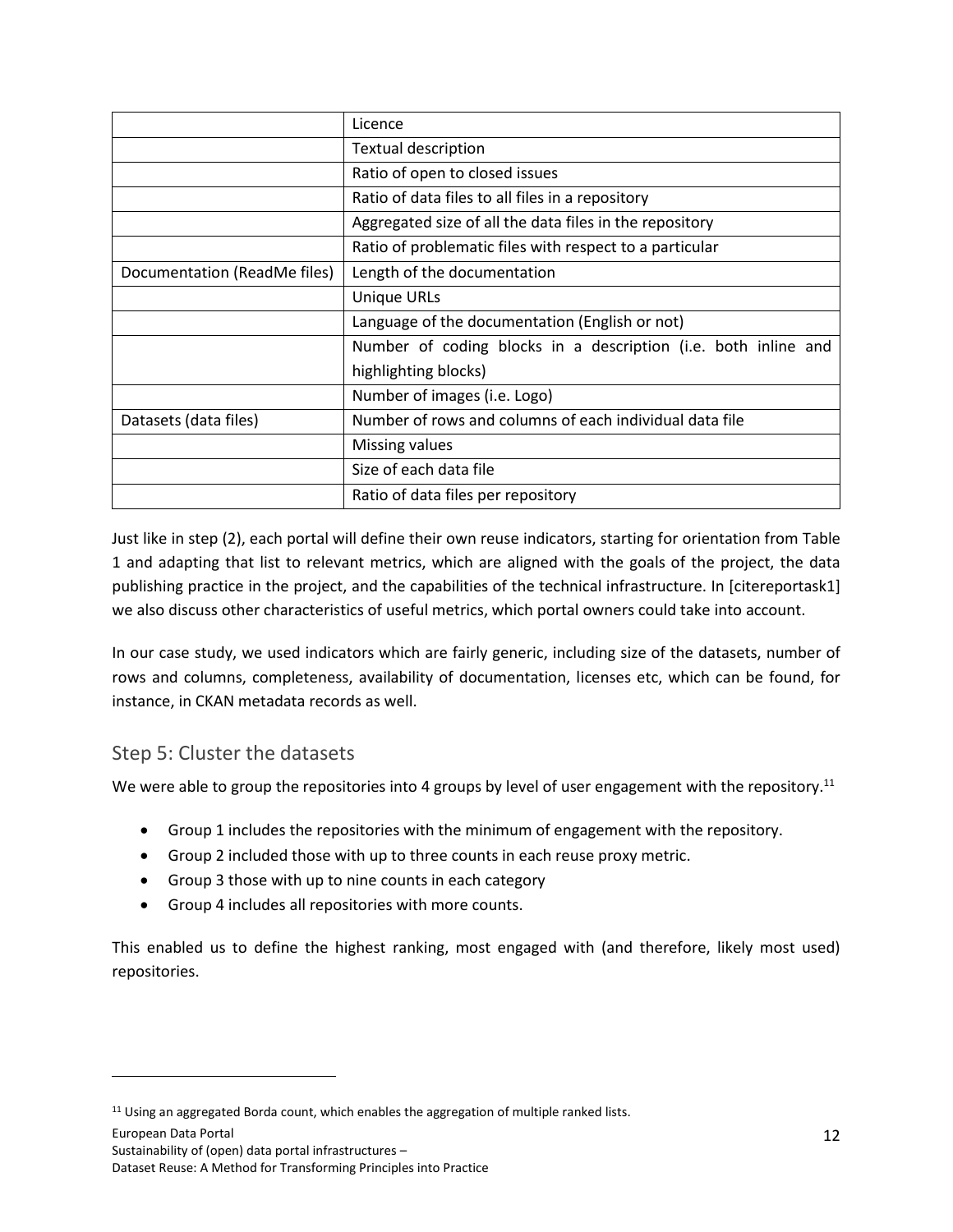|                              | Licence                                                        |
|------------------------------|----------------------------------------------------------------|
|                              | <b>Textual description</b>                                     |
|                              | Ratio of open to closed issues                                 |
|                              | Ratio of data files to all files in a repository               |
|                              | Aggregated size of all the data files in the repository        |
|                              | Ratio of problematic files with respect to a particular        |
| Documentation (ReadMe files) | Length of the documentation                                    |
|                              | <b>Unique URLs</b>                                             |
|                              | Language of the documentation (English or not)                 |
|                              | Number of coding blocks in a description (i.e. both inline and |
|                              | highlighting blocks)                                           |
|                              | Number of images (i.e. Logo)                                   |
| Datasets (data files)        | Number of rows and columns of each individual data file        |
|                              | Missing values                                                 |
|                              | Size of each data file                                         |
|                              | Ratio of data files per repository                             |

Just like in step (2), each portal will define their own reuse indicators, starting for orientation from Table 1 and adapting that list to relevant metrics, which are aligned with the goals of the project, the data publishing practice in the project, and the capabilities of the technical infrastructure. In [citereportask1] we also discuss other characteristics of useful metrics, which portal owners could take into account.

In our case study, we used indicators which are fairly generic, including size of the datasets, number of rows and columns, completeness, availability of documentation, licenses etc, which can be found, for instance, in CKAN metadata records as well.

## <span id="page-11-0"></span>Step 5: Cluster the datasets

We were able to group the repositories into 4 groups by level of user engagement with the repository.<sup>11</sup>

- Group 1 includes the repositories with the minimum of engagement with the repository.
- Group 2 included those with up to three counts in each reuse proxy metric.
- Group 3 those with up to nine counts in each category
- Group 4 includes all repositories with more counts.

This enabled us to define the highest ranking, most engaged with (and therefore, likely most used) repositories.

<sup>&</sup>lt;sup>11</sup> Using an aggregated Borda count, which enables the aggregation of multiple ranked lists.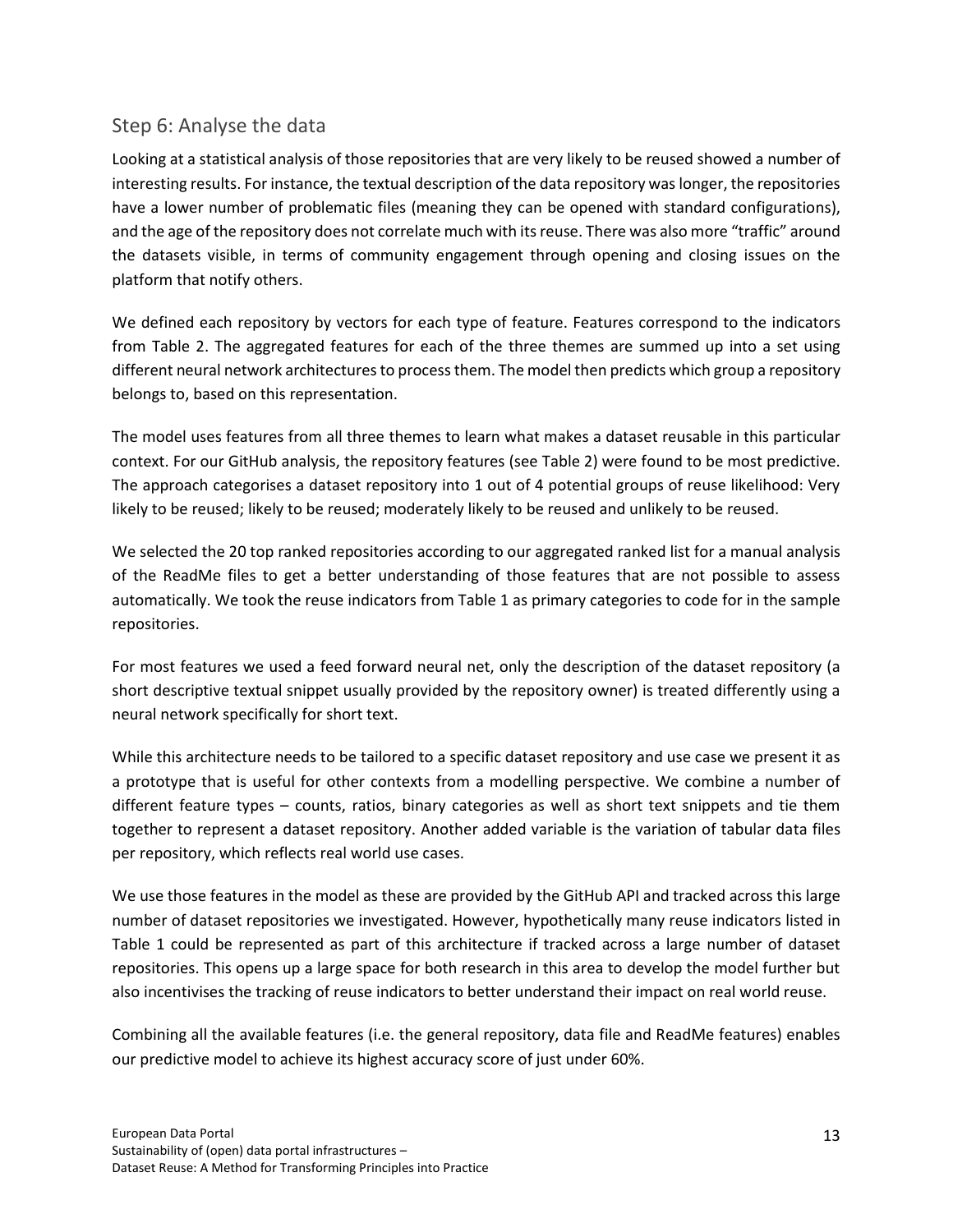#### <span id="page-12-0"></span>Step 6: Analyse the data

Looking at a statistical analysis of those repositories that are very likely to be reused showed a number of interesting results. For instance, the textual description of the data repository was longer, the repositories have a lower number of problematic files (meaning they can be opened with standard configurations), and the age of the repository does not correlate much with its reuse. There was also more "traffic" around the datasets visible, in terms of community engagement through opening and closing issues on the platform that notify others.

We defined each repository by vectors for each type of feature. Features correspond to the indicators from Table 2. The aggregated features for each of the three themes are summed up into a set using different neural network architectures to process them. The model then predicts which group a repository belongs to, based on this representation.

The model uses features from all three themes to learn what makes a dataset reusable in this particular context. For our GitHub analysis, the repository features (see Table 2) were found to be most predictive. The approach categorises a dataset repository into 1 out of 4 potential groups of reuse likelihood: Very likely to be reused; likely to be reused; moderately likely to be reused and unlikely to be reused.

We selected the 20 top ranked repositories according to our aggregated ranked list for a manual analysis of the ReadMe files to get a better understanding of those features that are not possible to assess automatically. We took the reuse indicators from Table 1 as primary categories to code for in the sample repositories.

For most features we used a feed forward neural net, only the description of the dataset repository (a short descriptive textual snippet usually provided by the repository owner) is treated differently using a neural network specifically for short text.

While this architecture needs to be tailored to a specific dataset repository and use case we present it as a prototype that is useful for other contexts from a modelling perspective. We combine a number of different feature types – counts, ratios, binary categories as well as short text snippets and tie them together to represent a dataset repository. Another added variable is the variation of tabular data files per repository, which reflects real world use cases.

We use those features in the model as these are provided by the GitHub API and tracked across this large number of dataset repositories we investigated. However, hypothetically many reuse indicators listed in Table 1 could be represented as part of this architecture if tracked across a large number of dataset repositories. This opens up a large space for both research in this area to develop the model further but also incentivises the tracking of reuse indicators to better understand their impact on real world reuse.

Combining all the available features (i.e. the general repository, data file and ReadMe features) enables our predictive model to achieve its highest accuracy score of just under 60%.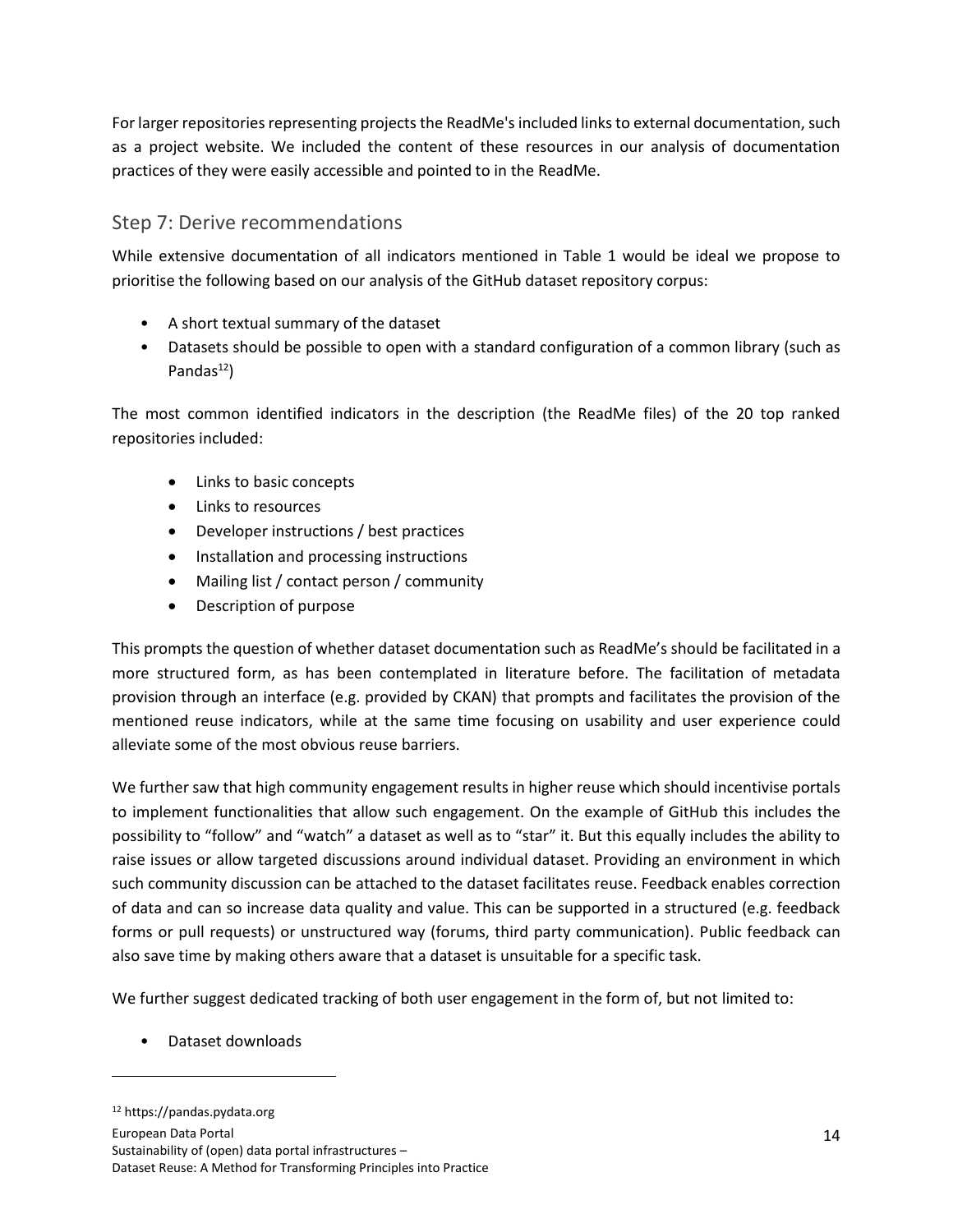For larger repositories representing projects the ReadMe's included links to external documentation, such as a project website. We included the content of these resources in our analysis of documentation practices of they were easily accessible and pointed to in the ReadMe.

## <span id="page-13-0"></span>Step 7: Derive recommendations

While extensive documentation of all indicators mentioned in Table 1 would be ideal we propose to prioritise the following based on our analysis of the GitHub dataset repository corpus:

- A short textual summary of the dataset
- Datasets should be possible to open with a standard configuration of a common library (such as Pandas $^{12}$ )

The most common identified indicators in the description (the ReadMe files) of the 20 top ranked repositories included:

- Links to basic concepts
- Links to resources
- Developer instructions / best practices
- Installation and processing instructions
- Mailing list / contact person / community
- Description of purpose

This prompts the question of whether dataset documentation such as ReadMe's should be facilitated in a more structured form, as has been contemplated in literature before. The facilitation of metadata provision through an interface (e.g. provided by CKAN) that prompts and facilitates the provision of the mentioned reuse indicators, while at the same time focusing on usability and user experience could alleviate some of the most obvious reuse barriers.

We further saw that high community engagement results in higher reuse which should incentivise portals to implement functionalities that allow such engagement. On the example of GitHub this includes the possibility to "follow" and "watch" a dataset as well as to "star" it. But this equally includes the ability to raise issues or allow targeted discussions around individual dataset. Providing an environment in which such community discussion can be attached to the dataset facilitates reuse. Feedback enables correction of data and can so increase data quality and value. This can be supported in a structured (e.g. feedback forms or pull requests) or unstructured way (forums, third party communication). Public feedback can also save time by making others aware that a dataset is unsuitable for a specific task.

We further suggest dedicated tracking of both user engagement in the form of, but not limited to:

• Dataset downloads

<sup>12</sup> https://pandas.pydata.org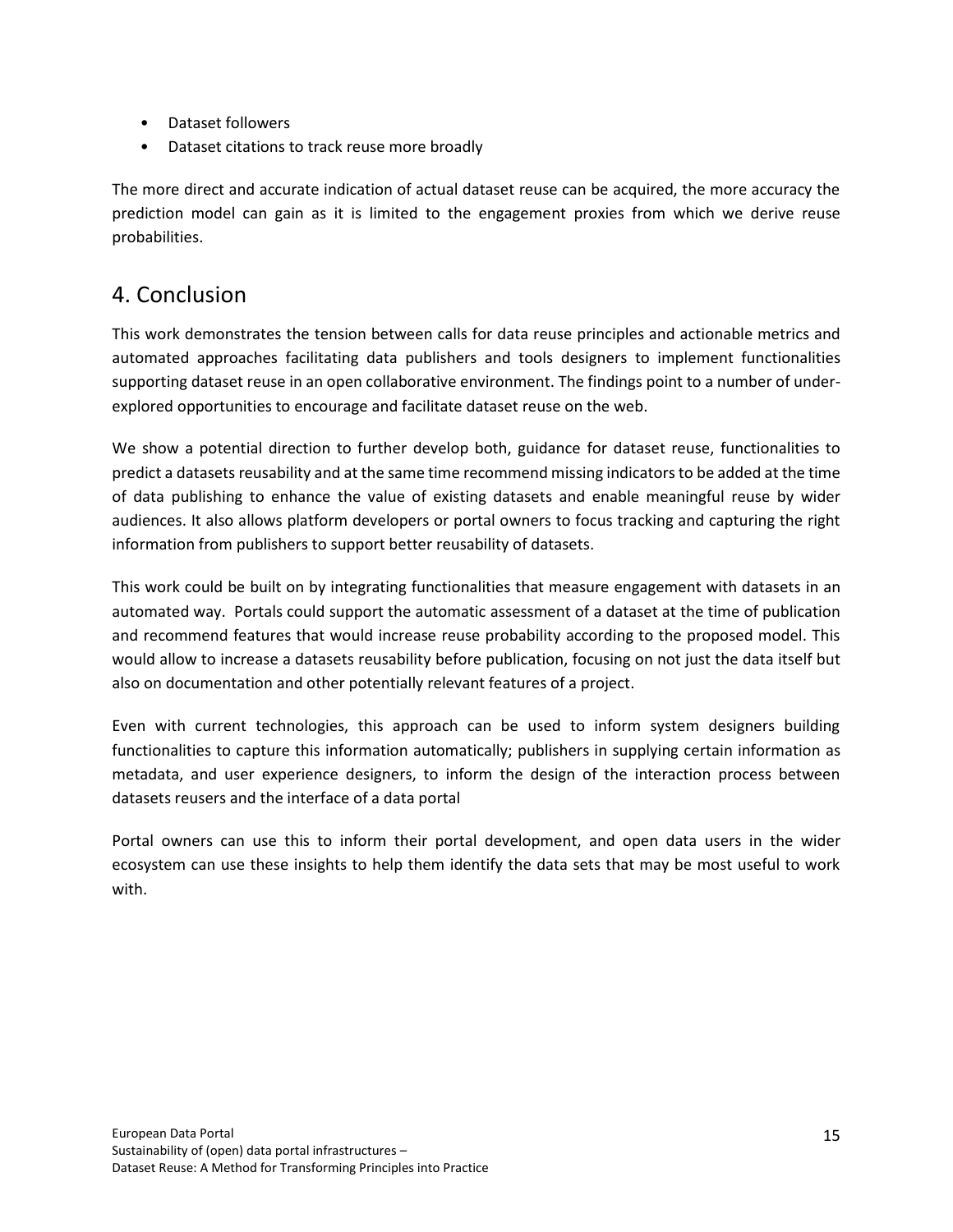- Dataset followers
- Dataset citations to track reuse more broadly

The more direct and accurate indication of actual dataset reuse can be acquired, the more accuracy the prediction model can gain as it is limited to the engagement proxies from which we derive reuse probabilities.

## <span id="page-14-0"></span>4. Conclusion

This work demonstrates the tension between calls for data reuse principles and actionable metrics and automated approaches facilitating data publishers and tools designers to implement functionalities supporting dataset reuse in an open collaborative environment. The findings point to a number of underexplored opportunities to encourage and facilitate dataset reuse on the web.

We show a potential direction to further develop both, guidance for dataset reuse, functionalities to predict a datasets reusability and at the same time recommend missing indicators to be added at the time of data publishing to enhance the value of existing datasets and enable meaningful reuse by wider audiences. It also allows platform developers or portal owners to focus tracking and capturing the right information from publishers to support better reusability of datasets.

This work could be built on by integrating functionalities that measure engagement with datasets in an automated way. Portals could support the automatic assessment of a dataset at the time of publication and recommend features that would increase reuse probability according to the proposed model. This would allow to increase a datasets reusability before publication, focusing on not just the data itself but also on documentation and other potentially relevant features of a project.

Even with current technologies, this approach can be used to inform system designers building functionalities to capture this information automatically; publishers in supplying certain information as metadata, and user experience designers, to inform the design of the interaction process between datasets reusers and the interface of a data portal

Portal owners can use this to inform their portal development, and open data users in the wider ecosystem can use these insights to help them identify the data sets that may be most useful to work with.